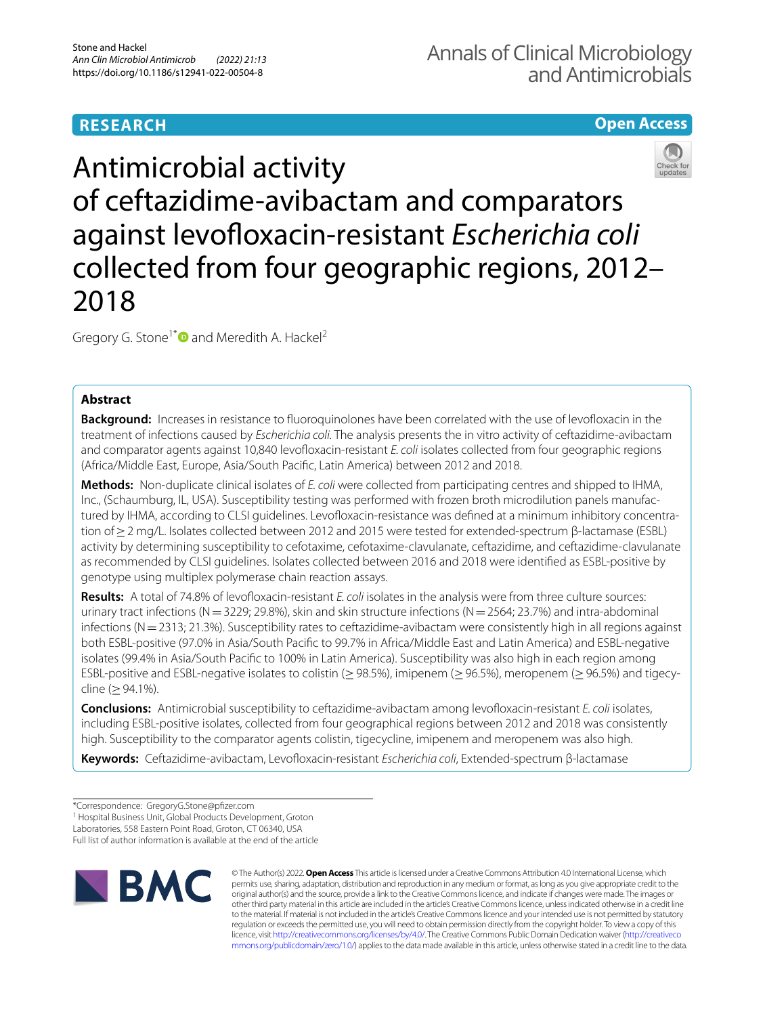# **RESEARCH**

# **Open Access**



Gregory G. Stone<sup>1[\\*](http://orcid.org/0000-0001-6115-2567)</sup> and Meredith A. Hackel<sup>2</sup>

# **Abstract**

**Background:** Increases in resistance to fuoroquinolones have been correlated with the use of levofoxacin in the treatment of infections caused by *Escherichia coli.* The analysis presents the in vitro activity of ceftazidime-avibactam and comparator agents against 10,840 levofoxacin-resistant *E. coli* isolates collected from four geographic regions (Africa/Middle East, Europe, Asia/South Pacifc, Latin America) between 2012 and 2018.

**Methods:** Non-duplicate clinical isolates of *E. coli* were collected from participating centres and shipped to IHMA, Inc., (Schaumburg, IL, USA). Susceptibility testing was performed with frozen broth microdilution panels manufactured by IHMA, according to CLSI guidelines. Levofloxacin-resistance was defined at a minimum inhibitory concentration of≥2 mg/L. Isolates collected between 2012 and 2015 were tested for extended-spectrum β-lactamase (ESBL) activity by determining susceptibility to cefotaxime, cefotaxime-clavulanate, ceftazidime, and ceftazidime-clavulanate as recommended by CLSI guidelines. Isolates collected between 2016 and 2018 were identifed as ESBL-positive by genotype using multiplex polymerase chain reaction assays.

**Results:** A total of 74.8% of levofoxacin-resistant *E. coli* isolates in the analysis were from three culture sources: urinary tract infections (N = 3229; 29.8%), skin and skin structure infections (N = 2564; 23.7%) and intra-abdominal infections (N=2313; 21.3%). Susceptibility rates to ceftazidime-avibactam were consistently high in all regions against both ESBL-positive (97.0% in Asia/South Pacifc to 99.7% in Africa/Middle East and Latin America) and ESBL-negative isolates (99.4% in Asia/South Pacifc to 100% in Latin America). Susceptibility was also high in each region among ESBL-positive and ESBL-negative isolates to colistin (≥98.5%), imipenem (≥96.5%), meropenem (≥96.5%) and tigecycline (≥94.1%).

**Conclusions:** Antimicrobial susceptibility to ceftazidime-avibactam among levofoxacin-resistant *E. coli* isolates, including ESBL-positive isolates, collected from four geographical regions between 2012 and 2018 was consistently high. Susceptibility to the comparator agents colistin, tigecycline, imipenem and meropenem was also high.

**Keywords:** Ceftazidime-avibactam, Levofoxacin-resistant *Escherichia coli*, Extended-spectrum β-lactamase

<sup>1</sup> Hospital Business Unit, Global Products Development, Groton

Laboratories, 558 Eastern Point Road, Groton, CT 06340, USA

Full list of author information is available at the end of the article



© The Author(s) 2022. **Open Access** This article is licensed under a Creative Commons Attribution 4.0 International License, which permits use, sharing, adaptation, distribution and reproduction in any medium or format, as long as you give appropriate credit to the original author(s) and the source, provide a link to the Creative Commons licence, and indicate if changes were made. The images or other third party material in this article are included in the article's Creative Commons licence, unless indicated otherwise in a credit line to the material. If material is not included in the article's Creative Commons licence and your intended use is not permitted by statutory regulation or exceeds the permitted use, you will need to obtain permission directly from the copyright holder. To view a copy of this licence, visit [http://creativecommons.org/licenses/by/4.0/.](http://creativecommons.org/licenses/by/4.0/) The Creative Commons Public Domain Dedication waiver ([http://creativeco](http://creativecommons.org/publicdomain/zero/1.0/) [mmons.org/publicdomain/zero/1.0/](http://creativecommons.org/publicdomain/zero/1.0/)) applies to the data made available in this article, unless otherwise stated in a credit line to the data.

<sup>\*</sup>Correspondence: GregoryG.Stone@pfzer.com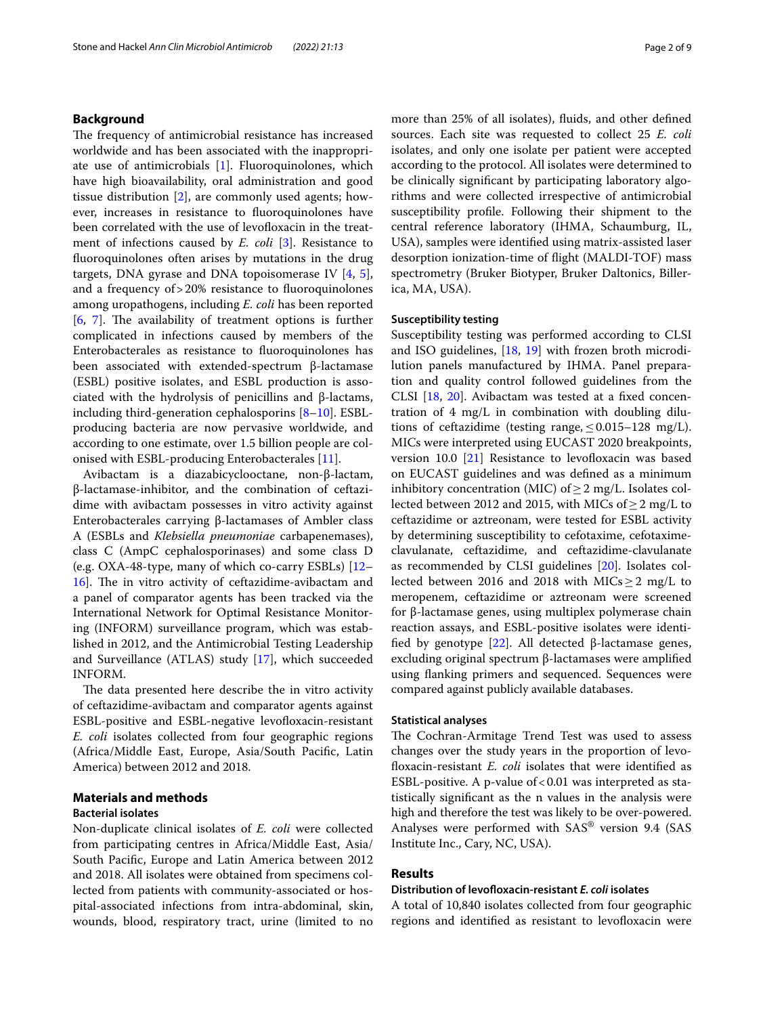## **Background**

The frequency of antimicrobial resistance has increased worldwide and has been associated with the inappropriate use of antimicrobials [\[1](#page-7-0)]. Fluoroquinolones, which have high bioavailability, oral administration and good tissue distribution [\[2](#page-7-1)], are commonly used agents; however, increases in resistance to fuoroquinolones have been correlated with the use of levofoxacin in the treatment of infections caused by *E. coli* [\[3](#page-7-2)]. Resistance to fuoroquinolones often arises by mutations in the drug targets, DNA gyrase and DNA topoisomerase IV [[4](#page-7-3), [5](#page-7-4)], and a frequency of>20% resistance to fuoroquinolones among uropathogens, including *E. coli* has been reported  $[6, 7]$  $[6, 7]$  $[6, 7]$  $[6, 7]$ . The availability of treatment options is further complicated in infections caused by members of the Enterobacterales as resistance to fuoroquinolones has been associated with extended-spectrum β-lactamase (ESBL) positive isolates, and ESBL production is associated with the hydrolysis of penicillins and β-lactams, including third-generation cephalosporins [[8–](#page-7-7)[10\]](#page-8-0). ESBLproducing bacteria are now pervasive worldwide, and according to one estimate, over 1.5 billion people are colonised with ESBL-producing Enterobacterales [[11](#page-8-1)].

Avibactam is a diazabicyclooctane, non-β-lactam, β-lactamase-inhibitor, and the combination of ceftazidime with avibactam possesses in vitro activity against Enterobacterales carrying β-lactamases of Ambler class A (ESBLs and *Klebsiella pneumoniae* carbapenemases), class C (AmpC cephalosporinases) and some class D (e.g. OXA-48-type, many of which co-carry ESBLs) [[12–](#page-8-2) [16\]](#page-8-3). The in vitro activity of ceftazidime-avibactam and a panel of comparator agents has been tracked via the International Network for Optimal Resistance Monitoring (INFORM) surveillance program, which was established in 2012, and the Antimicrobial Testing Leadership and Surveillance (ATLAS) study [\[17](#page-8-4)], which succeeded INFORM.

The data presented here describe the in vitro activity of ceftazidime-avibactam and comparator agents against ESBL-positive and ESBL-negative levofoxacin-resistant *E. coli* isolates collected from four geographic regions (Africa/Middle East, Europe, Asia/South Pacifc, Latin America) between 2012 and 2018.

# **Materials and methods**

### **Bacterial isolates**

Non-duplicate clinical isolates of *E. coli* were collected from participating centres in Africa/Middle East, Asia/ South Pacifc, Europe and Latin America between 2012 and 2018. All isolates were obtained from specimens collected from patients with community-associated or hospital-associated infections from intra-abdominal, skin, wounds, blood, respiratory tract, urine (limited to no more than 25% of all isolates), fuids, and other defned sources. Each site was requested to collect 25 *E. coli* isolates, and only one isolate per patient were accepted according to the protocol. All isolates were determined to be clinically signifcant by participating laboratory algorithms and were collected irrespective of antimicrobial susceptibility profle. Following their shipment to the central reference laboratory (IHMA, Schaumburg, IL, USA), samples were identifed using matrix-assisted laser desorption ionization-time of fight (MALDI-TOF) mass spectrometry (Bruker Biotyper, Bruker Daltonics, Billerica, MA, USA).

### **Susceptibility testing**

Susceptibility testing was performed according to CLSI and ISO guidelines, [[18](#page-8-5), [19\]](#page-8-6) with frozen broth microdilution panels manufactured by IHMA. Panel preparation and quality control followed guidelines from the CLSI [\[18](#page-8-5), [20](#page-8-7)]. Avibactam was tested at a fxed concentration of 4 mg/L in combination with doubling dilutions of ceftazidime (testing range,  $\leq 0.015-128$  mg/L). MICs were interpreted using EUCAST 2020 breakpoints, version 10.0  $[21]$  $[21]$  Resistance to levofloxacin was based on EUCAST guidelines and was defned as a minimum inhibitory concentration (MIC) of  $\geq$  2 mg/L. Isolates collected between 2012 and 2015, with MICs of  $\geq$  2 mg/L to ceftazidime or aztreonam, were tested for ESBL activity by determining susceptibility to cefotaxime, cefotaximeclavulanate, ceftazidime, and ceftazidime-clavulanate as recommended by CLSI guidelines [\[20](#page-8-7)]. Isolates collected between 2016 and 2018 with MICs  $\geq$  2 mg/L to meropenem, ceftazidime or aztreonam were screened for β-lactamase genes, using multiplex polymerase chain reaction assays, and ESBL-positive isolates were identifed by genotype [[22\]](#page-8-9). All detected β-lactamase genes, excluding original spectrum β-lactamases were amplifed using fanking primers and sequenced. Sequences were compared against publicly available databases.

### **Statistical analyses**

The Cochran-Armitage Trend Test was used to assess changes over the study years in the proportion of levofoxacin-resistant *E. coli* isolates that were identifed as ESBL-positive. A p-value of  $< 0.01$  was interpreted as statistically signifcant as the n values in the analysis were high and therefore the test was likely to be over-powered. Analyses were performed with SAS® version 9.4 (SAS Institute Inc., Cary, NC, USA).

# **Results**

### **Distribution of levofoxacin‑resistant** *E. coli* **isolates**

A total of 10,840 isolates collected from four geographic regions and identified as resistant to levofloxacin were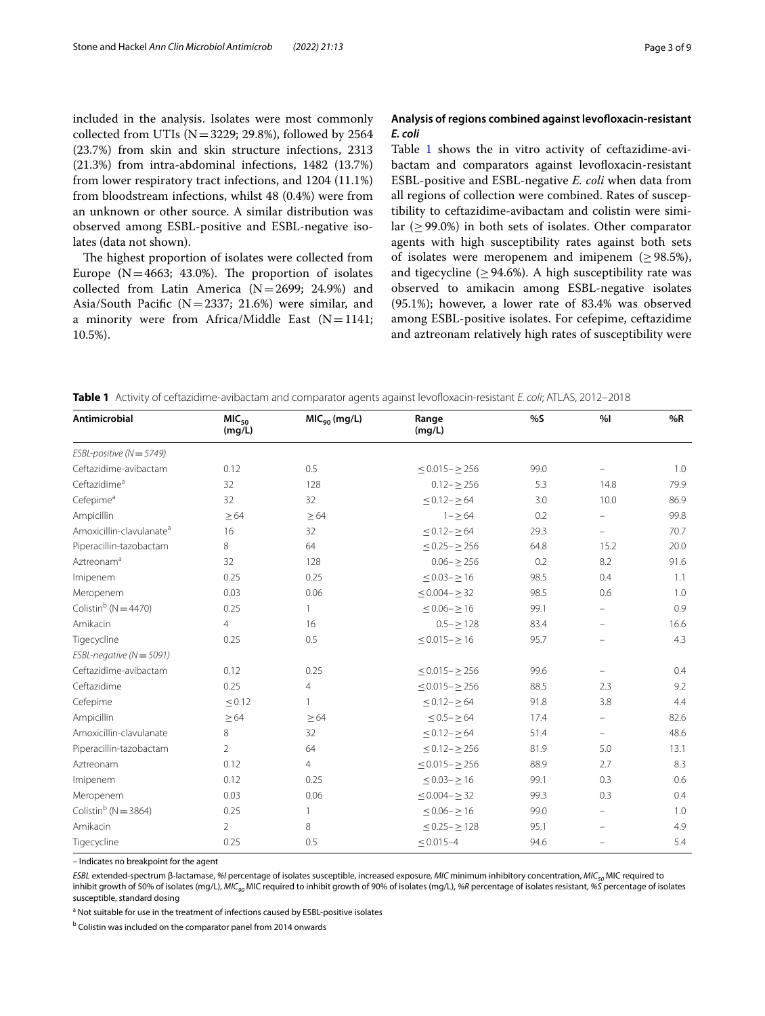included in the analysis. Isolates were most commonly collected from UTIs ( $N=3229$ ; 29.8%), followed by 2564 (23.7%) from skin and skin structure infections, 2313 (21.3%) from intra-abdominal infections, 1482 (13.7%) from lower respiratory tract infections, and 1204 (11.1%) from bloodstream infections, whilst 48 (0.4%) were from an unknown or other source. A similar distribution was observed among ESBL-positive and ESBL-negative isolates (data not shown).

The highest proportion of isolates were collected from Europe ( $N=4663$ ; 43.0%). The proportion of isolates collected from Latin America (N=2699; 24.9%) and Asia/South Pacific ( $N=2337$ ; 21.6%) were similar, and a minority were from Africa/Middle East  $(N=1141;$ 10.5%).

# **Analysis of regions combined against levofoxacin‑resistant**  *E. coli*

Table [1](#page-2-0) shows the in vitro activity of ceftazidime-avibactam and comparators against levofoxacin-resistant ESBL-positive and ESBL-negative *E. coli* when data from all regions of collection were combined. Rates of susceptibility to ceftazidime-avibactam and colistin were similar (≥99.0%) in both sets of isolates. Other comparator agents with high susceptibility rates against both sets of isolates were meropenem and imipenem (≥98.5%), and tigecycline ( $\geq$  94.6%). A high susceptibility rate was observed to amikacin among ESBL-negative isolates (95.1%); however, a lower rate of 83.4% was observed among ESBL-positive isolates. For cefepime, ceftazidime and aztreonam relatively high rates of susceptibility were

<span id="page-2-0"></span>**Table 1** Activity of ceftazidime-avibactam and comparator agents against levofoxacin-resistant *E. coli*; ATLAS, 2012–2018

| Antimicrobial                        | MIC <sub>50</sub><br>(mg/L) | MIC <sub>90</sub> (mg/L) | Range<br>(mg/L)           | %S   | %                        | %R   |
|--------------------------------------|-----------------------------|--------------------------|---------------------------|------|--------------------------|------|
| $ESBL-positive (N = 5749)$           |                             |                          |                           |      |                          |      |
| Ceftazidime-avibactam                | 0.12                        | 0.5                      | $\leq$ 0.015 - $\geq$ 256 | 99.0 |                          | 1.0  |
| Ceftazidime <sup>a</sup>             | 32                          | 128                      | $0.12 - \ge 256$          | 5.3  | 14.8                     | 79.9 |
| Cefepime <sup>a</sup>                | 32                          | 32                       | $\leq$ 0.12 – $\geq$ 64   | 3.0  | 10.0                     | 86.9 |
| Ampicillin                           | >64                         | >64                      | $1 - > 64$                | 0.2  |                          | 99.8 |
| Amoxicillin-clavulanate <sup>a</sup> | 16                          | 32                       | $\leq$ 0.12 – $\geq$ 64   | 29.3 |                          | 70.7 |
| Piperacillin-tazobactam              | 8                           | 64                       | $< 0.25 - > 256$          | 64.8 | 15.2                     | 20.0 |
| Aztreonam <sup>a</sup>               | 32                          | 128                      | $0.06 - \geq 256$         | 0.2  | 8.2                      | 91.6 |
| Imipenem                             | 0.25                        | 0.25                     | $\leq$ 0.03 - $\geq$ 16   | 98.5 | 0.4                      | 1.1  |
| Meropenem                            | 0.03                        | 0.06                     | $\leq$ 0.004 - $\geq$ 32  | 98.5 | 0.6                      | 1.0  |
| Colistin <sup>b</sup> ( $N = 4470$ ) | 0.25                        | 1                        | $\leq$ 0.06 $ \geq$ 16    | 99.1 | ÷.                       | 0.9  |
| Amikacin                             | $\overline{4}$              | 16                       | $0.5 - > 128$             | 83.4 | $\overline{\phantom{0}}$ | 16.6 |
| Tigecycline                          | 0.25                        | 0.5                      | $\leq$ 0.015 - $\geq$ 16  | 95.7 |                          | 4.3  |
| ESBL-negative ( $N = 5091$ )         |                             |                          |                           |      |                          |      |
| Ceftazidime-avibactam                | 0.12                        | 0.25                     | $\leq$ 0.015 - $\geq$ 256 | 99.6 |                          | 0.4  |
| Ceftazidime                          | 0.25                        | $\overline{4}$           | $\leq$ 0.015 - $\geq$ 256 | 88.5 | 2.3                      | 9.2  |
| Cefepime                             | < 0.12                      | 1                        | $\leq$ 0.12 – $\geq$ 64   | 91.8 | 3.8                      | 4.4  |
| Ampicillin                           | $\geq 64$                   | $\geq 64$                | $\leq$ 0.5 – $\geq$ 64    | 17.4 | $\equiv$                 | 82.6 |
| Amoxicillin-clavulanate              | 8                           | 32                       | $\leq$ 0.12 – $\geq$ 64   | 51.4 | $\overline{\phantom{0}}$ | 48.6 |
| Piperacillin-tazobactam              | $\overline{2}$              | 64                       | $\leq$ 0.12 - $\geq$ 256  | 81.9 | 5.0                      | 13.1 |
| Aztreonam                            | 0.12                        | $\overline{4}$           | $\leq$ 0.015 - $\geq$ 256 | 88.9 | 2.7                      | 8.3  |
| Imipenem                             | 0.12                        | 0.25                     | $\leq$ 0.03 – $\geq$ 16   | 99.1 | 0.3                      | 0.6  |
| Meropenem                            | 0.03                        | 0.06                     | $\leq$ 0.004 - $\geq$ 32  | 99.3 | 0.3                      | 0.4  |
| Colistin <sup>b</sup> ( $N = 3864$ ) | 0.25                        | $\mathbf{1}$             | $\leq$ 0.06 - $\geq$ 16   | 99.0 | -                        | 1.0  |
| Amikacin                             | $\overline{2}$              | 8                        | $\leq$ 0.25 - $\geq$ 128  | 95.1 |                          | 4.9  |
| Tigecycline                          | 0.25                        | 0.5                      | $< 0.015 - 4$             | 94.6 |                          | 5.4  |

– Indicates no breakpoint for the agent

*ESBL* extended-spectrum β-lactamase, *%I* percentage of isolates susceptible, increased exposure, *MIC* minimum inhibitory concentration, *MIC50* MIC required to inhibit growth of 50% of isolates (mg/L), *MIC<sub>90</sub>* MIC required to inhibit growth of 90% of isolates (mg/L), %R percentage of isolates resistant, %S percentage of isolates susceptible, standard dosing

<sup>a</sup> Not suitable for use in the treatment of infections caused by ESBL-positive isolates

<sup>b</sup> Colistin was included on the comparator panel from 2014 onwards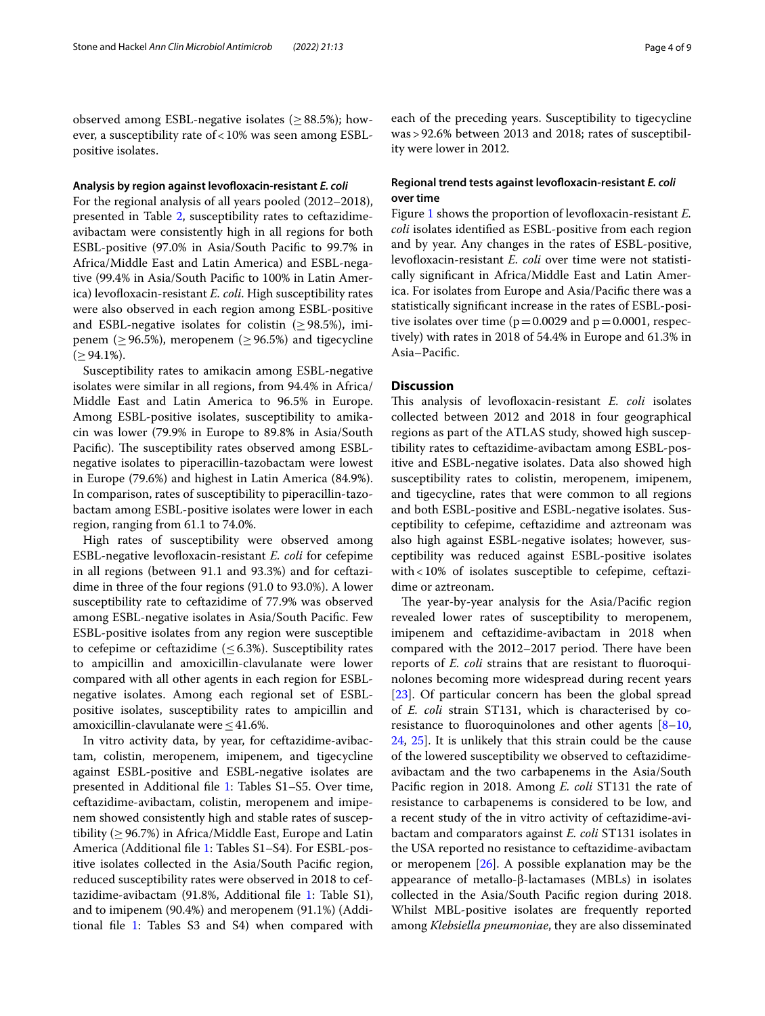observed among ESBL-negative isolates ( $\geq$ 88.5%); however, a susceptibility rate of<10% was seen among ESBLpositive isolates.

#### **Analysis by region against levofoxacin‑resistant** *E. coli*

For the regional analysis of all years pooled (2012–2018), presented in Table [2](#page-4-0), susceptibility rates to ceftazidimeavibactam were consistently high in all regions for both ESBL-positive (97.0% in Asia/South Pacifc to 99.7% in Africa/Middle East and Latin America) and ESBL-negative (99.4% in Asia/South Pacifc to 100% in Latin America) levofloxacin-resistant *E. coli*. High susceptibility rates were also observed in each region among ESBL-positive and ESBL-negative isolates for colistin ( $\geq$ 98.5%), imipenem ( $\geq$  96.5%), meropenem ( $\geq$  96.5%) and tigecycline  $(≥ 94.1\%).$ 

Susceptibility rates to amikacin among ESBL-negative isolates were similar in all regions, from 94.4% in Africa/ Middle East and Latin America to 96.5% in Europe. Among ESBL-positive isolates, susceptibility to amikacin was lower (79.9% in Europe to 89.8% in Asia/South Pacific). The susceptibility rates observed among ESBLnegative isolates to piperacillin-tazobactam were lowest in Europe (79.6%) and highest in Latin America (84.9%). In comparison, rates of susceptibility to piperacillin-tazobactam among ESBL-positive isolates were lower in each region, ranging from 61.1 to 74.0%.

High rates of susceptibility were observed among ESBL-negative levofoxacin-resistant *E. coli* for cefepime in all regions (between 91.1 and 93.3%) and for ceftazidime in three of the four regions (91.0 to 93.0%). A lower susceptibility rate to ceftazidime of 77.9% was observed among ESBL-negative isolates in Asia/South Pacifc. Few ESBL-positive isolates from any region were susceptible to cefepime or ceftazidime  $(\leq 6.3\%)$ . Susceptibility rates to ampicillin and amoxicillin-clavulanate were lower compared with all other agents in each region for ESBLnegative isolates. Among each regional set of ESBLpositive isolates, susceptibility rates to ampicillin and amoxicillin-clavulanate were≤41.6%.

In vitro activity data, by year, for ceftazidime-avibactam, colistin, meropenem, imipenem, and tigecycline against ESBL-positive and ESBL-negative isolates are presented in Additional fle [1](#page-7-8): Tables S1–S5. Over time, ceftazidime-avibactam, colistin, meropenem and imipenem showed consistently high and stable rates of susceptibility ( $\geq$  96.7%) in Africa/Middle East, Europe and Latin America (Additional fle [1](#page-7-8): Tables S1–S4). For ESBL-positive isolates collected in the Asia/South Pacifc region, reduced susceptibility rates were observed in 2018 to ceftazidime-avibactam (91.8%, Additional fle [1](#page-7-8): Table S1), and to imipenem (90.4%) and meropenem (91.1%) (Additional fle [1:](#page-7-8) Tables S3 and S4) when compared with each of the preceding years. Susceptibility to tigecycline was>92.6% between 2013 and 2018; rates of susceptibility were lower in 2012.

# **Regional trend tests against levofoxacin‑resistant** *E. coli* **over time**

Figure [1](#page-6-0) shows the proportion of levofloxacin-resistant *E*. *coli* isolates identifed as ESBL-positive from each region and by year. Any changes in the rates of ESBL-positive, levofloxacin-resistant *E. coli* over time were not statistically signifcant in Africa/Middle East and Latin America. For isolates from Europe and Asia/Pacifc there was a statistically signifcant increase in the rates of ESBL-positive isolates over time ( $p=0.0029$  and  $p=0.0001$ , respectively) with rates in 2018 of 54.4% in Europe and 61.3% in Asia–Pacifc.

### **Discussion**

This analysis of levofloxacin-resistant *E. coli* isolates collected between 2012 and 2018 in four geographical regions as part of the ATLAS study, showed high susceptibility rates to ceftazidime-avibactam among ESBL-positive and ESBL-negative isolates. Data also showed high susceptibility rates to colistin, meropenem, imipenem, and tigecycline, rates that were common to all regions and both ESBL-positive and ESBL-negative isolates. Susceptibility to cefepime, ceftazidime and aztreonam was also high against ESBL-negative isolates; however, susceptibility was reduced against ESBL-positive isolates with<10% of isolates susceptible to cefepime, ceftazidime or aztreonam.

The year-by-year analysis for the Asia/Pacific region revealed lower rates of susceptibility to meropenem, imipenem and ceftazidime-avibactam in 2018 when compared with the 2012–2017 period. There have been reports of *E. coli* strains that are resistant to fuoroquinolones becoming more widespread during recent years [[23\]](#page-8-10). Of particular concern has been the global spread of *E. coli* strain ST131, which is characterised by coresistance to fluoroquinolones and other agents  $[8-10, 10]$  $[8-10, 10]$  $[8-10, 10]$ [24,](#page-8-11) [25](#page-8-12)]. It is unlikely that this strain could be the cause of the lowered susceptibility we observed to ceftazidimeavibactam and the two carbapenems in the Asia/South Pacifc region in 2018. Among *E. coli* ST131 the rate of resistance to carbapenems is considered to be low, and a recent study of the in vitro activity of ceftazidime-avibactam and comparators against *E. coli* ST131 isolates in the USA reported no resistance to ceftazidime-avibactam or meropenem [[26\]](#page-8-13). A possible explanation may be the appearance of metallo-β-lactamases (MBLs) in isolates collected in the Asia/South Pacifc region during 2018. Whilst MBL-positive isolates are frequently reported among *Klebsiella pneumoniae*, they are also disseminated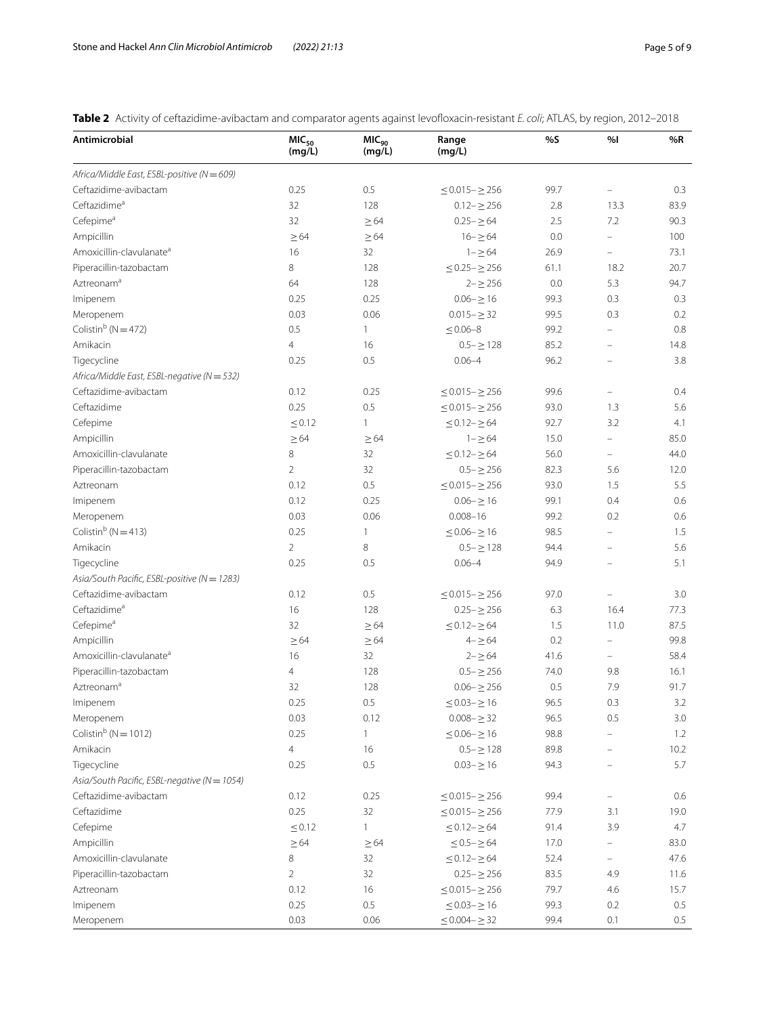<span id="page-4-0"></span>**Table 2** Activity of ceftazidime-avibactam and comparator agents against levofoxacin-resistant *E. coli*; ATLAS, by region, 2012–2018

| Antimicrobial                                | MIC <sub>50</sub><br>(mg/L) | MIC <sub>90</sub><br>(mg/L) | Range<br>(mg/L)           | %S   | %                        | %R   |
|----------------------------------------------|-----------------------------|-----------------------------|---------------------------|------|--------------------------|------|
| Africa/Middle East, ESBL-positive (N = 609)  |                             |                             |                           |      |                          |      |
| Ceftazidime-avibactam                        | 0.25                        | 0.5                         | $\leq$ 0.015 - $\geq$ 256 | 99.7 |                          | 0.3  |
| Ceftazidimeª                                 | 32                          | 128                         | $0.12 - \geq 256$         | 2.8  | 13.3                     | 83.9 |
| Cefepime <sup>a</sup>                        | 32                          | $\geq 64$                   | $0.25 - \ge 64$           | 2.5  | 7.2                      | 90.3 |
| Ampicillin                                   | $\geq 64$                   | $\geq$ 64                   | $16 - \ge 64$             | 0.0  | $\equiv$                 | 100  |
| Amoxicillin-clavulanate <sup>a</sup>         | 16                          | 32                          | $1 - \ge 64$              | 26.9 | $\equiv$                 | 73.1 |
| Piperacillin-tazobactam                      | 8                           | 128                         | $\leq$ 0.25 - $\geq$ 256  | 61.1 | 18.2                     | 20.7 |
| Aztreonam <sup>a</sup>                       | 64                          | 128                         | $2 - \ge 256$             | 0.0  | 5.3                      | 94.7 |
| Imipenem                                     | 0.25                        | 0.25                        | $0.06 - > 16$             | 99.3 | 0.3                      | 0.3  |
| Meropenem                                    | 0.03                        | 0.06                        | $0.015 - \geq 32$         | 99.5 | 0.3                      | 0.2  |
| Colistin <sup>b</sup> ( $N = 472$ )          | 0.5                         | $\mathbf{1}$                | $\leq 0.06 - 8$           | 99.2 | $\overline{\phantom{0}}$ | 0.8  |
| Amikacin                                     | $\overline{4}$              | 16                          | $0.5 - \ge 128$           | 85.2 | $\equiv$                 | 14.8 |
| Tigecycline                                  | 0.25                        | 0.5                         | $0.06 - 4$                | 96.2 | $\overline{\phantom{0}}$ | 3.8  |
| Africa/Middle East, ESBL-negative (N = 532)  |                             |                             |                           |      |                          |      |
| Ceftazidime-avibactam                        | 0.12                        | 0.25                        | $\leq$ 0.015 - $\geq$ 256 | 99.6 |                          | 0.4  |
| Ceftazidime                                  | 0.25                        | 0.5                         | $\leq$ 0.015 - $\geq$ 256 | 93.0 | 1.3                      | 5.6  |
| Cefepime                                     | $\leq 0.12$                 | $\mathbf{1}$                | $\leq$ 0.12- $\geq$ 64    | 92.7 | 3.2                      | 4.1  |
| Ampicillin                                   | $\geq 64$                   | $\geq 64$                   | $1 - \ge 64$              | 15.0 | ÷.                       | 85.0 |
| Amoxicillin-clavulanate                      | 8                           | 32                          | $< 0.12 - > 64$           | 56.0 | 4                        | 44.0 |
| Piperacillin-tazobactam                      | $\overline{2}$              | 32                          | $0.5 - \ge 256$           | 82.3 | 5.6                      | 12.0 |
| Aztreonam                                    | 0.12                        | 0.5                         | $\leq$ 0.015 - $\geq$ 256 | 93.0 | 1.5                      | 5.5  |
| Imipenem                                     | 0.12                        | 0.25                        | $0.06 - \ge 16$           | 99.1 | 0.4                      | 0.6  |
| Meropenem                                    | 0.03                        | 0.06                        | $0.008 - 16$              | 99.2 | 0.2                      | 0.6  |
| Colistin <sup>b</sup> ( $N = 413$ )          | 0.25                        | $\mathbf{1}$                | $\leq$ 0.06 $\geq$ 16     | 98.5 | $\equiv$                 | 1.5  |
| Amikacin                                     | $\overline{2}$              | 8                           | $0.5 - \ge 128$           | 94.4 | ÷                        | 5.6  |
| Tigecycline                                  | 0.25                        | 0.5                         | $0.06 - 4$                | 94.9 |                          | 5.1  |
| Asia/South Pacific, ESBL-positive (N = 1283) |                             |                             |                           |      |                          |      |
| Ceftazidime-avibactam                        | 0.12                        | 0.5                         | $\leq$ 0.015 - $\geq$ 256 | 97.0 |                          | 3.0  |
| Ceftazidime <sup>a</sup>                     | 16                          | 128                         | $0.25 - \geq 256$         | 6.3  | 16.4                     | 77.3 |
| Cefepime <sup>a</sup>                        | 32                          | $\geq 64$                   | $\leq$ 0.12- $\geq$ 64    | 1.5  | 11.0                     | 87.5 |
| Ampicillin                                   | $\geq 64$                   | $\geq 64$                   | $4 - 564$                 | 0.2  | ÷                        | 99.8 |
| Amoxicillin-clavulanate <sup>a</sup>         | 16                          | 32                          | $2 - \ge 64$              | 41.6 | $\equiv$                 | 58.4 |
| Piperacillin-tazobactam                      | 4                           | 128                         | $0.5 - \ge 256$           | 74.0 | 9.8                      | 16.1 |
| Aztreonam <sup>a</sup>                       | 32                          | 128                         | $0.06 - \geq 256$         | 0.5  | 7.9                      | 91.7 |
| Imipenem                                     | 0.25                        | 0.5                         | $< 0.03 - > 16$           | 96.5 | 0.3                      | 3.2  |
| Meropenem                                    | 0.03                        | 0.12                        | $0.008 - \geq 32$         | 96.5 | 0.5                      | 3.0  |
| Colistin <sup>b</sup> ( $N = 1012$ )         | 0.25                        | $\mathbf{1}$                | $\leq 0.06 - \geq 16$     | 98.8 |                          | 1.2  |
| Amikacin                                     | 4                           | 16                          | $0.5 - \ge 128$           | 89.8 |                          | 10.2 |
| Tigecycline                                  | 0.25                        | 0.5                         | $0.03 - \ge 16$           | 94.3 |                          | 5.7  |
| Asia/South Pacific, ESBL-negative (N = 1054) |                             |                             |                           |      |                          |      |
| Ceftazidime-avibactam                        | 0.12                        | 0.25                        | $\leq$ 0.015 - $\geq$ 256 | 99.4 | $\overline{\phantom{0}}$ | 0.6  |
| Ceftazidime                                  | 0.25                        | 32                          | $\leq$ 0.015 - $\geq$ 256 | 77.9 | 3.1                      | 19.0 |
| Cefepime                                     | $\leq 0.12$                 | $\mathbf{1}$                | $\leq$ 0.12- $\geq$ 64    | 91.4 | 3.9                      | 4.7  |
| Ampicillin                                   | $\geq$ 64                   | $\geq 64$                   | $\leq$ 0.5 – $\geq$ 64    | 17.0 | $\equiv$                 | 83.0 |
| Amoxicillin-clavulanate                      | 8                           | 32                          | $\leq$ 0.12- $\geq$ 64    | 52.4 | Ξ.                       | 47.6 |
| Piperacillin-tazobactam                      | $\overline{2}$              | 32                          | $0.25 - \geq 256$         | 83.5 | 4.9                      | 11.6 |
| Aztreonam                                    | 0.12                        | 16                          | $\leq$ 0.015 - $\geq$ 256 | 79.7 | 4.6                      | 15.7 |
| Imipenem                                     | 0.25                        | 0.5                         | $\leq$ 0.03- $\geq$ 16    | 99.3 | 0.2                      | 0.5  |
| Meropenem                                    | 0.03                        | 0.06                        | $\leq$ 0.004 - $\geq$ 32  | 99.4 | 0.1                      | 0.5  |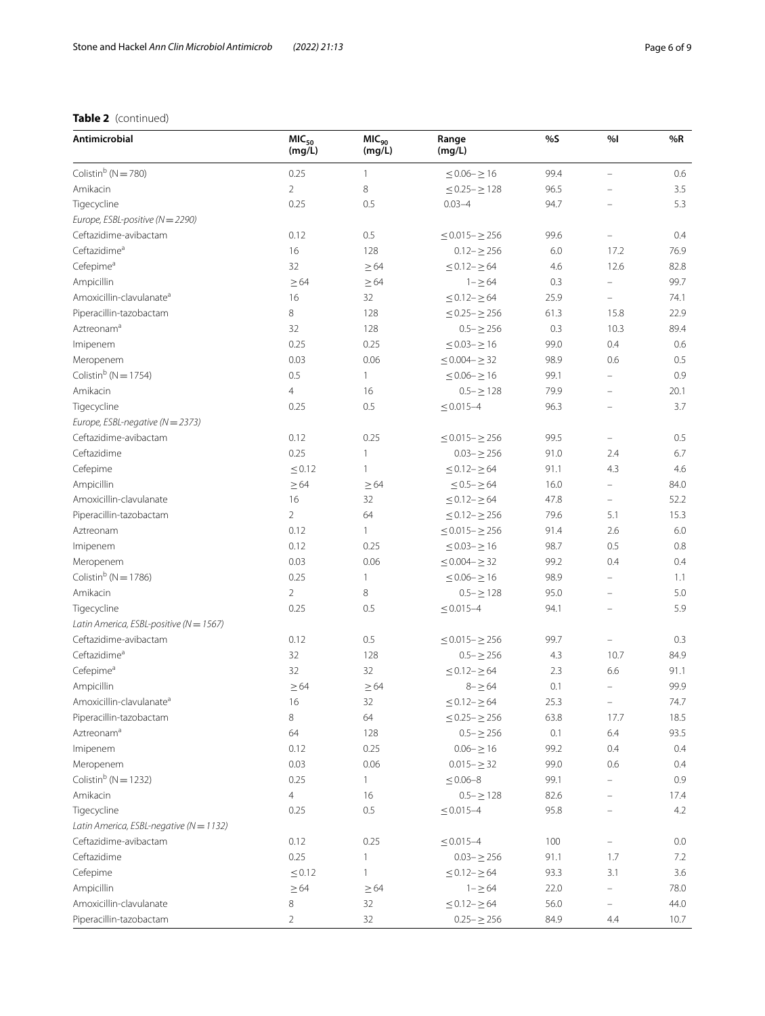# **Table 2** (continued)

| Antimicrobial                               | MIC <sub>50</sub><br>(mg/L) | MIC <sub>90</sub><br>(mq/L) | Range<br>(mg/L)           | %S   | %                        | %R      |
|---------------------------------------------|-----------------------------|-----------------------------|---------------------------|------|--------------------------|---------|
| Colistin <sup>b</sup> ( $N = 780$ )         | 0.25                        | $\mathbf{1}$                | $\leq$ 0.06 – $\geq$ 16   | 99.4 | $\equiv$                 | 0.6     |
| Amikacin                                    | $\overline{2}$              | 8                           | $\leq$ 0.25 - $\geq$ 128  | 96.5 |                          | 3.5     |
| Tigecycline                                 | 0.25                        | 0.5                         | $0.03 - 4$                | 94.7 |                          | 5.3     |
| Europe, ESBL-positive (N = 2290)            |                             |                             |                           |      |                          |         |
| Ceftazidime-avibactam                       | 0.12                        | 0.5                         | $\leq$ 0.015 - $\geq$ 256 | 99.6 |                          | 0.4     |
| Ceftazidime <sup>a</sup>                    | 16                          | 128                         | $0.12 - \geq 256$         | 6.0  | 17.2                     | 76.9    |
| Cefepime <sup>a</sup>                       | 32                          | $\geq 64$                   | $\leq$ 0.12 – $\geq$ 64   | 4.6  | 12.6                     | 82.8    |
| Ampicillin                                  | $\geq 64$                   | $\geq 64$                   | $1 - \ge 64$              | 0.3  | $\overline{\phantom{m}}$ | 99.7    |
| Amoxicillin-clavulanate <sup>a</sup>        | 16                          | 32                          | $\leq$ 0.12 – $\geq$ 64   | 25.9 | $\overline{\phantom{m}}$ | 74.1    |
| Piperacillin-tazobactam                     | 8                           | 128                         | $\leq$ 0.25 – $\geq$ 256  | 61.3 | 15.8                     | 22.9    |
| Aztreonam <sup>a</sup>                      | 32                          | 128                         | $0.5 - \geq 256$          | 0.3  | 10.3                     | 89.4    |
| Imipenem                                    | 0.25                        | 0.25                        | $\leq$ 0.03 - $\geq$ 16   | 99.0 | 0.4                      | 0.6     |
| Meropenem                                   | 0.03                        | 0.06                        | $\leq$ 0.004 - $\geq$ 32  | 98.9 | 0.6                      | 0.5     |
| Colistin <sup>b</sup> ( $N = 1754$ )        | 0.5                         | $\mathbf{1}$                | $\leq$ 0.06 $\geq$ 16     | 99.1 | $\equiv$                 | 0.9     |
| Amikacin                                    | 4                           | 16                          | $0.5 - \ge 128$           | 79.9 | $\equiv$                 | 20.1    |
| Tigecycline                                 | 0.25                        | 0.5                         | $\leq 0.015 - 4$          | 96.3 |                          | 3.7     |
| Europe, ESBL-negative (N = 2373)            |                             |                             |                           |      |                          |         |
| Ceftazidime-avibactam                       | 0.12                        | 0.25                        | $\leq$ 0.015 - $\geq$ 256 | 99.5 | $\equiv$                 | 0.5     |
| Ceftazidime                                 | 0.25                        | 1                           | $0.03 - \geq 256$         | 91.0 | 2.4                      | 6.7     |
| Cefepime                                    | < 0.12                      | $\mathbf{1}$                | $\leq$ 0.12 – $\geq$ 64   | 91.1 | 4.3                      | 4.6     |
| Ampicillin                                  | $\geq 64$                   | $\geq 64$                   | $\leq$ 0.5 – $\geq$ 64    | 16.0 | $\bar{ }$                | 84.0    |
| Amoxicillin-clavulanate                     | 16                          | 32                          | $\leq$ 0.12 – $\geq$ 64   | 47.8 | $\equiv$                 | 52.2    |
| Piperacillin-tazobactam                     | $\overline{2}$              | 64                          | $\leq$ 0.12- $\geq$ 256   | 79.6 | 5.1                      | 15.3    |
| Aztreonam                                   | 0.12                        | $\mathbf{1}$                | $\leq$ 0.015 - $\geq$ 256 | 91.4 | 2.6                      | $6.0\,$ |
| Imipenem                                    | 0.12                        | 0.25                        | $\leq$ 0.03- $\geq$ 16    | 98.7 | 0.5                      | 0.8     |
| Meropenem                                   | 0.03                        | 0.06                        | $\leq$ 0.004 - $\geq$ 32  | 99.2 | 0.4                      | 0.4     |
| Colistin <sup>b</sup> ( $N = 1786$ )        | 0.25                        | $\mathbf{1}$                | $\leq$ 0.06 - $\geq$ 16   | 98.9 | $\equiv$                 | 1.1     |
| Amikacin                                    | $\overline{2}$              | 8                           | $0.5 - \ge 128$           | 95.0 |                          | 5.0     |
| Tigecycline                                 | 0.25                        | 0.5                         | $\leq 0.015 - 4$          | 94.1 |                          | 5.9     |
| Latin America, ESBL-positive (N = 1567)     |                             |                             |                           |      |                          |         |
| Ceftazidime-avibactam                       | 0.12                        | 0.5                         | $\leq$ 0.015 - $\geq$ 256 | 99.7 |                          | 0.3     |
| Ceftazidime <sup>a</sup>                    | 32                          | 128                         | $0.5 - \ge 256$           | 4.3  | 10.7                     | 84.9    |
| Cefepime <sup>a</sup>                       | 32                          | 32                          | $\leq$ 0.12- $\geq$ 64    | 2.3  | 6.6                      | 91.1    |
| Ampicillin                                  | $\geq 64$                   | $\geq 64$                   | $8 - \ge 64$              | 0.1  | $\equiv$                 | 99.9    |
| Amoxicillin-clavulanate <sup>a</sup>        | $16\,$                      | 32                          | $\leq$ 0.12- $\geq$ 64    | 25.3 |                          | 74.7    |
| Piperacillin-tazobactam                     | 8                           | 64                          | $\leq$ 0.25 – $\geq$ 256  | 63.8 | 17.7                     | 18.5    |
| Aztreonam <sup>a</sup>                      | 64                          | 128                         | $0.5 - \ge 256$           | 0.1  | 6.4                      | 93.5    |
| Imipenem                                    | 0.12                        | 0.25                        | $0.06 - \ge 16$           | 99.2 | 0.4                      | 0.4     |
| Meropenem                                   | 0.03                        | 0.06                        | $0.015 - \geq 32$         | 99.0 | 0.6                      | 0.4     |
| Colistin <sup>b</sup> ( $N = 1232$ )        | 0.25                        | $\mathbf{1}$                | $\leq 0.06 - 8$           | 99.1 |                          | 0.9     |
| Amikacin                                    | 4                           | 16                          | $0.5 - \ge 128$           | 82.6 |                          | 17.4    |
| Tigecycline                                 | 0.25                        | 0.5                         | $\leq 0.015 - 4$          | 95.8 |                          | 4.2     |
| Latin America, ESBL-negative ( $N = 1132$ ) |                             |                             |                           |      |                          |         |
| Ceftazidime-avibactam                       | 0.12                        | 0.25                        | $\leq 0.015 - 4$          | 100  |                          | 0.0     |
| Ceftazidime                                 | 0.25                        | 1                           | $0.03 - \geq 256$         | 91.1 | 1.7                      | 7.2     |
| Cefepime                                    | $\leq 0.12$                 | $\mathbf{1}$                | $\leq$ 0.12- $\geq$ 64    | 93.3 | 3.1                      | 3.6     |
| Ampicillin                                  | $\geq 64$                   | $\geq 64$                   | $1 - \ge 64$              | 22.0 |                          | 78.0    |
| Amoxicillin-clavulanate                     | 8                           | 32                          | $\leq$ 0.12- $\geq$ 64    | 56.0 |                          | 44.0    |
| Piperacillin-tazobactam                     | $\overline{c}$              | 32                          | $0.25 - \ge 256$          | 84.9 | 4.4                      | 10.7    |
|                                             |                             |                             |                           |      |                          |         |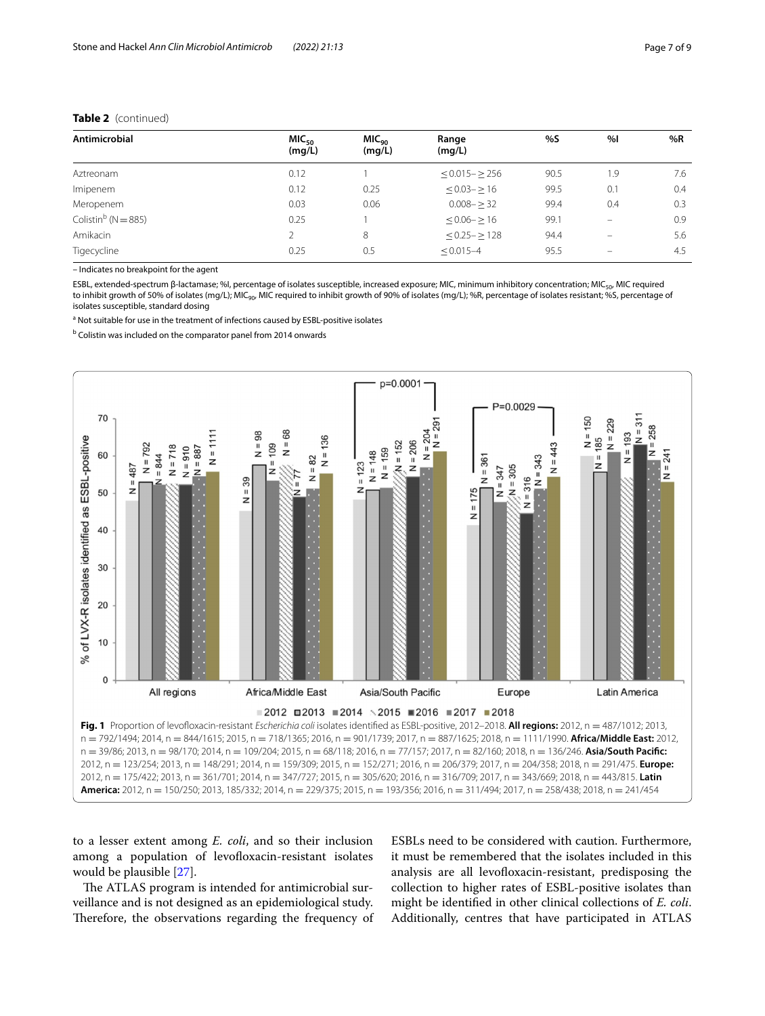# **Table 2** (continued)

| Antimicrobial                   | MIC <sub>50</sub><br>(mq/L) | MIC <sub>90</sub><br>(mq/L) | Range<br>(mq/L)   | %S   | %   | %R  |
|---------------------------------|-----------------------------|-----------------------------|-------------------|------|-----|-----|
| Aztreonam                       | 0.12                        |                             | $< 0.015 - > 256$ | 90.5 | 1.9 | 7.6 |
| Imipenem                        | 0.12                        | 0.25                        | $< 0.03 - \ge 16$ | 99.5 | 0.1 | 0.4 |
| Meropenem                       | 0.03                        | 0.06                        | $0.008 - 32$      | 99.4 | 0.4 | 0.3 |
| Colistin <sup>b</sup> (N = 885) | 0.25                        |                             | $< 0.06 - > 16$   | 99.1 | -   | 0.9 |
| Amikacin                        | 2                           | 8                           | $< 0.25 - > 128$  | 94.4 | -   | 5.6 |
| Tigecycline                     | 0.25                        | 0.5                         | $\leq 0.015 - 4$  | 95.5 |     | 4.5 |

– Indicates no breakpoint for the agent

ESBL, extended-spectrum β-lactamase; %I, percentage of isolates susceptible, increased exposure; MIC, minimum inhibitory concentration; MIC<sub>50</sub>, MIC required to inhibit growth of 50% of isolates (mg/L); MIC<sub>90</sub>, MIC required to inhibit growth of 90% of isolates (mg/L); %R, percentage of isolates resistant; %S, percentage of isolates susceptible, standard dosing

<sup>a</sup> Not suitable for use in the treatment of infections caused by ESBL-positive isolates

<sup>b</sup> Colistin was included on the comparator panel from 2014 onwards



<span id="page-6-0"></span>to a lesser extent among *E. coli*, and so their inclusion among a population of levofloxacin-resistant isolates would be plausible [[27\]](#page-8-14).

The ATLAS program is intended for antimicrobial surveillance and is not designed as an epidemiological study. Therefore, the observations regarding the frequency of ESBLs need to be considered with caution. Furthermore, it must be remembered that the isolates included in this analysis are all levofloxacin-resistant, predisposing the collection to higher rates of ESBL-positive isolates than might be identifed in other clinical collections of *E. coli*. Additionally, centres that have participated in ATLAS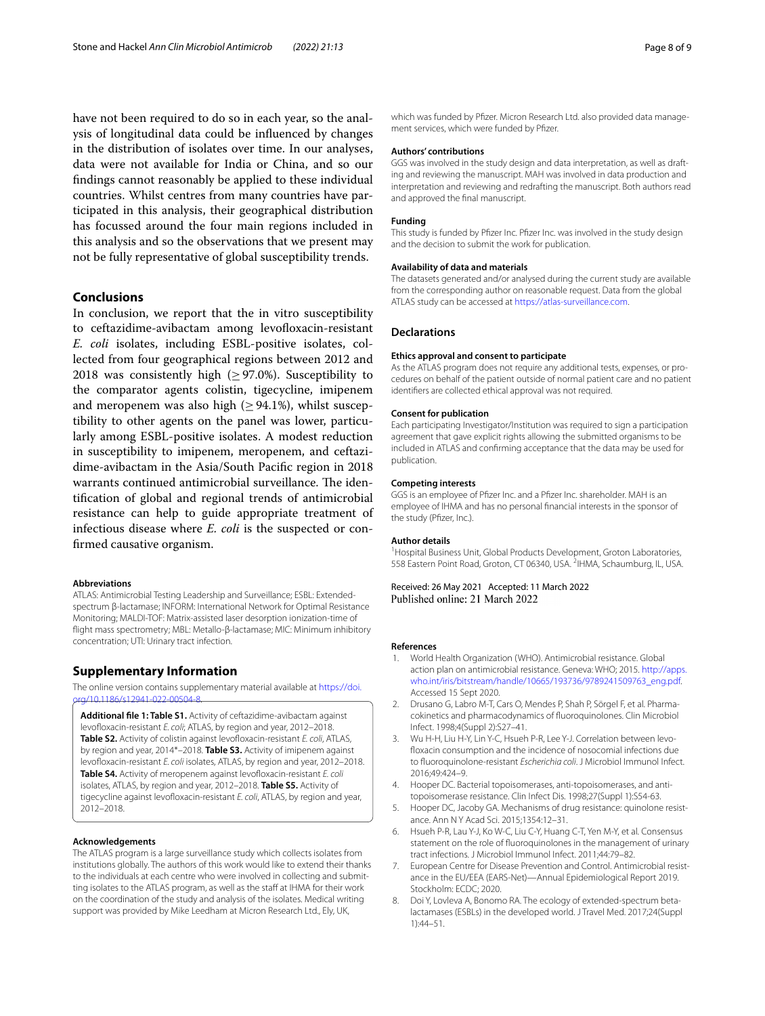have not been required to do so in each year, so the analysis of longitudinal data could be infuenced by changes in the distribution of isolates over time. In our analyses, data were not available for India or China, and so our fndings cannot reasonably be applied to these individual countries. Whilst centres from many countries have participated in this analysis, their geographical distribution has focussed around the four main regions included in this analysis and so the observations that we present may not be fully representative of global susceptibility trends.

### **Conclusions**

In conclusion, we report that the in vitro susceptibility to ceftazidime-avibactam among levofoxacin-resistant *E. coli* isolates, including ESBL-positive isolates, collected from four geographical regions between 2012 and 2018 was consistently high ( $\geq$  97.0%). Susceptibility to the comparator agents colistin, tigecycline, imipenem and meropenem was also high ( $\geq$  94.1%), whilst susceptibility to other agents on the panel was lower, particularly among ESBL-positive isolates. A modest reduction in susceptibility to imipenem, meropenem, and ceftazidime-avibactam in the Asia/South Pacifc region in 2018 warrants continued antimicrobial surveillance. The identifcation of global and regional trends of antimicrobial resistance can help to guide appropriate treatment of infectious disease where *E. coli* is the suspected or confrmed causative organism.

#### **Abbreviations**

ATLAS: Antimicrobial Testing Leadership and Surveillance; ESBL: Extendedspectrum β-lactamase; INFORM: International Network for Optimal Resistance Monitoring; MALDI-TOF: Matrix-assisted laser desorption ionization-time of fight mass spectrometry; MBL: Metallo-β-lactamase; MIC: Minimum inhibitory concentration; UTI: Urinary tract infection.

### **Supplementary Information**

The online version contains supplementary material available at [https://doi.](https://doi.org/10.1186/s12941-022-00504-8)  $(10.1186/12941.022.0050$ 

<span id="page-7-8"></span>**Additional fle 1: Table S1.** Activity of ceftazidime-avibactam against levofloxacin-resistant *E. coli*; ATLAS, by region and year, 2012-2018. **Table S2.** Activity of colistin against levofloxacin-resistant *E. coli*, ATLAS, by region and year, 2014\*–2018. **Table S3.** Activity of imipenem against levofloxacin-resistant *E. coli* isolates, ATLAS, by region and year, 2012–2018. **Table S4.** Activity of meropenem against levofoxacin-resistant *E. coli* isolates, ATLAS, by region and year, 2012–2018. **Table S5.** Activity of tigecycline against levofloxacin-resistant *E. coli*, ATLAS, by region and year, 2012–2018.

#### **Acknowledgements**

The ATLAS program is a large surveillance study which collects isolates from institutions globally. The authors of this work would like to extend their thanks to the individuals at each centre who were involved in collecting and submitting isolates to the ATLAS program, as well as the staff at IHMA for their work on the coordination of the study and analysis of the isolates. Medical writing support was provided by Mike Leedham at Micron Research Ltd., Ely, UK,

which was funded by Pfzer. Micron Research Ltd. also provided data management services, which were funded by Pfzer.

### **Authors' contributions**

GGS was involved in the study design and data interpretation, as well as drafting and reviewing the manuscript. MAH was involved in data production and interpretation and reviewing and redrafting the manuscript. Both authors read and approved the fnal manuscript.

#### **Funding**

This study is funded by Pfzer Inc. Pfzer Inc. was involved in the study design and the decision to submit the work for publication.

#### **Availability of data and materials**

The datasets generated and/or analysed during the current study are available from the corresponding author on reasonable request. Data from the global ATLAS study can be accessed at [https://atlas-surveillance.com.](https://atlas-surveillance.com)

#### **Declarations**

#### **Ethics approval and consent to participate**

As the ATLAS program does not require any additional tests, expenses, or procedures on behalf of the patient outside of normal patient care and no patient identifers are collected ethical approval was not required.

#### **Consent for publication**

Each participating Investigator/Institution was required to sign a participation agreement that gave explicit rights allowing the submitted organisms to be included in ATLAS and confrming acceptance that the data may be used for publication.

#### **Competing interests**

GGS is an employee of Pfzer Inc. and a Pfzer Inc. shareholder. MAH is an employee of IHMA and has no personal fnancial interests in the sponsor of the study (Pfizer, Inc.).

#### **Author details**

<sup>1</sup> Hospital Business Unit, Global Products Development, Groton Laboratories, 558 Eastern Point Road, Groton, CT 06340, USA. <sup>2</sup>IHMA, Schaumburg, IL, USA.

Received: 26 May 2021 Accepted: 11 March 2022 Published online: 21 March 2022

#### **References**

- <span id="page-7-0"></span>1. World Health Organization (WHO). Antimicrobial resistance. Global action plan on antimicrobial resistance. Geneva: WHO; 2015. [http://apps.](http://apps.who.int/iris/bitstream/handle/10665/193736/9789241509763_eng.pdf) [who.int/iris/bitstream/handle/10665/193736/9789241509763\\_eng.pdf.](http://apps.who.int/iris/bitstream/handle/10665/193736/9789241509763_eng.pdf) Accessed 15 Sept 2020.
- <span id="page-7-1"></span>2. Drusano G, Labro M-T, Cars O, Mendes P, Shah P, Sörgel F, et al. Pharmacokinetics and pharmacodynamics of fuoroquinolones. Clin Microbiol Infect. 1998;4(Suppl 2):S27–41.
- <span id="page-7-2"></span>3. Wu H-H, Liu H-Y, Lin Y-C, Hsueh P-R, Lee Y-J. Correlation between levofoxacin consumption and the incidence of nosocomial infections due to fuoroquinolone-resistant *Escherichia coli*. J Microbiol Immunol Infect. 2016;49:424–9.
- <span id="page-7-3"></span>4. Hooper DC. Bacterial topoisomerases, anti-topoisomerases, and antitopoisomerase resistance. Clin Infect Dis. 1998;27(Suppl 1):S54-63.
- <span id="page-7-4"></span>5. Hooper DC, Jacoby GA. Mechanisms of drug resistance: quinolone resistance. Ann N Y Acad Sci. 2015;1354:12–31.
- <span id="page-7-5"></span>6. Hsueh P-R, Lau Y-J, Ko W-C, Liu C-Y, Huang C-T, Yen M-Y, et al. Consensus statement on the role of fuoroquinolones in the management of urinary tract infections. J Microbiol Immunol Infect. 2011;44:79–82.
- <span id="page-7-6"></span>7. European Centre for Disease Prevention and Control. Antimicrobial resistance in the EU/EEA (EARS-Net)—Annual Epidemiological Report 2019. Stockholm: ECDC; 2020.
- <span id="page-7-7"></span>8. Doi Y, Lovleva A, Bonomo RA. The ecology of extended-spectrum betalactamases (ESBLs) in the developed world. J Travel Med. 2017;24(Suppl 1):44–51.